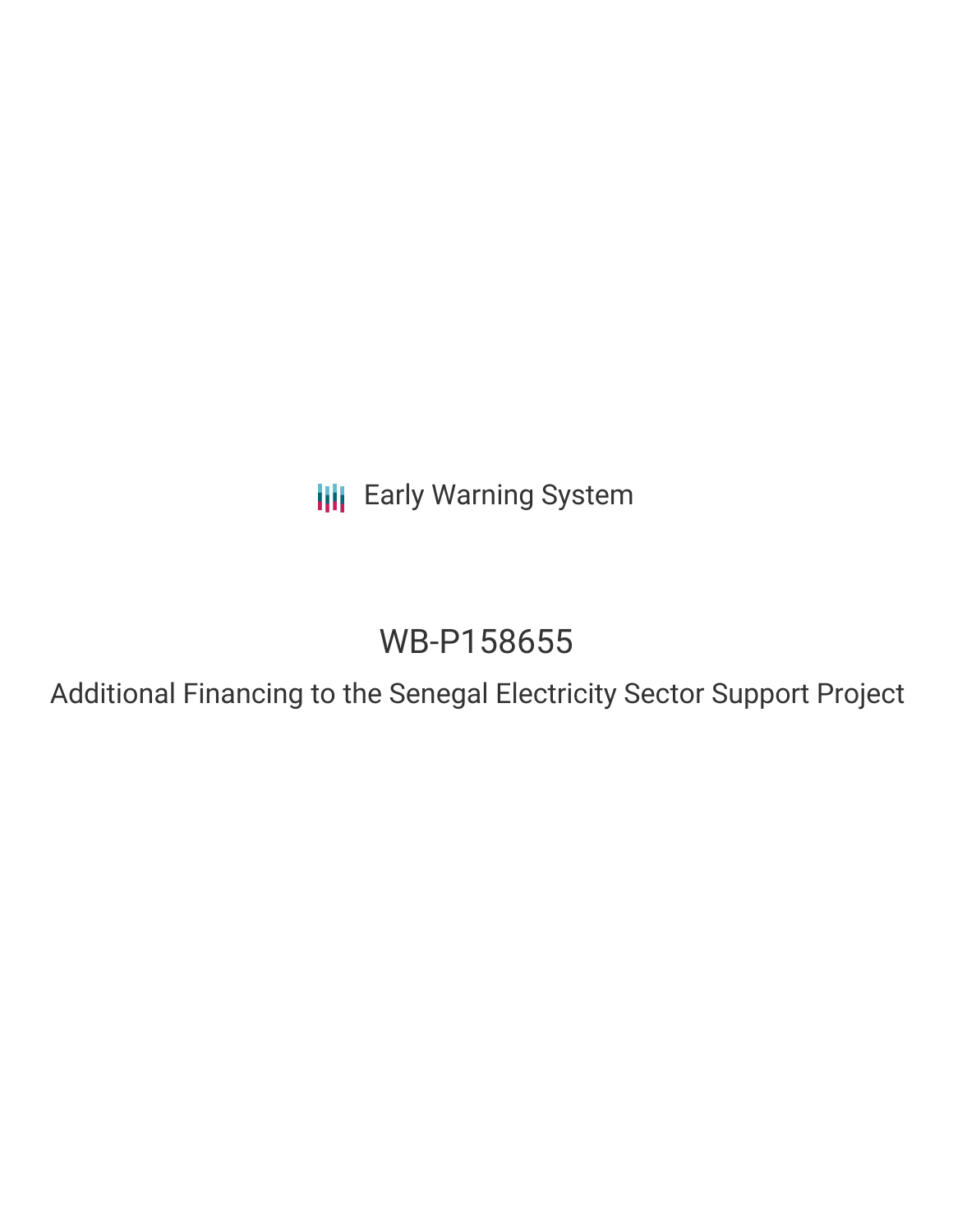**III** Early Warning System

# WB-P158655

Additional Financing to the Senegal Electricity Sector Support Project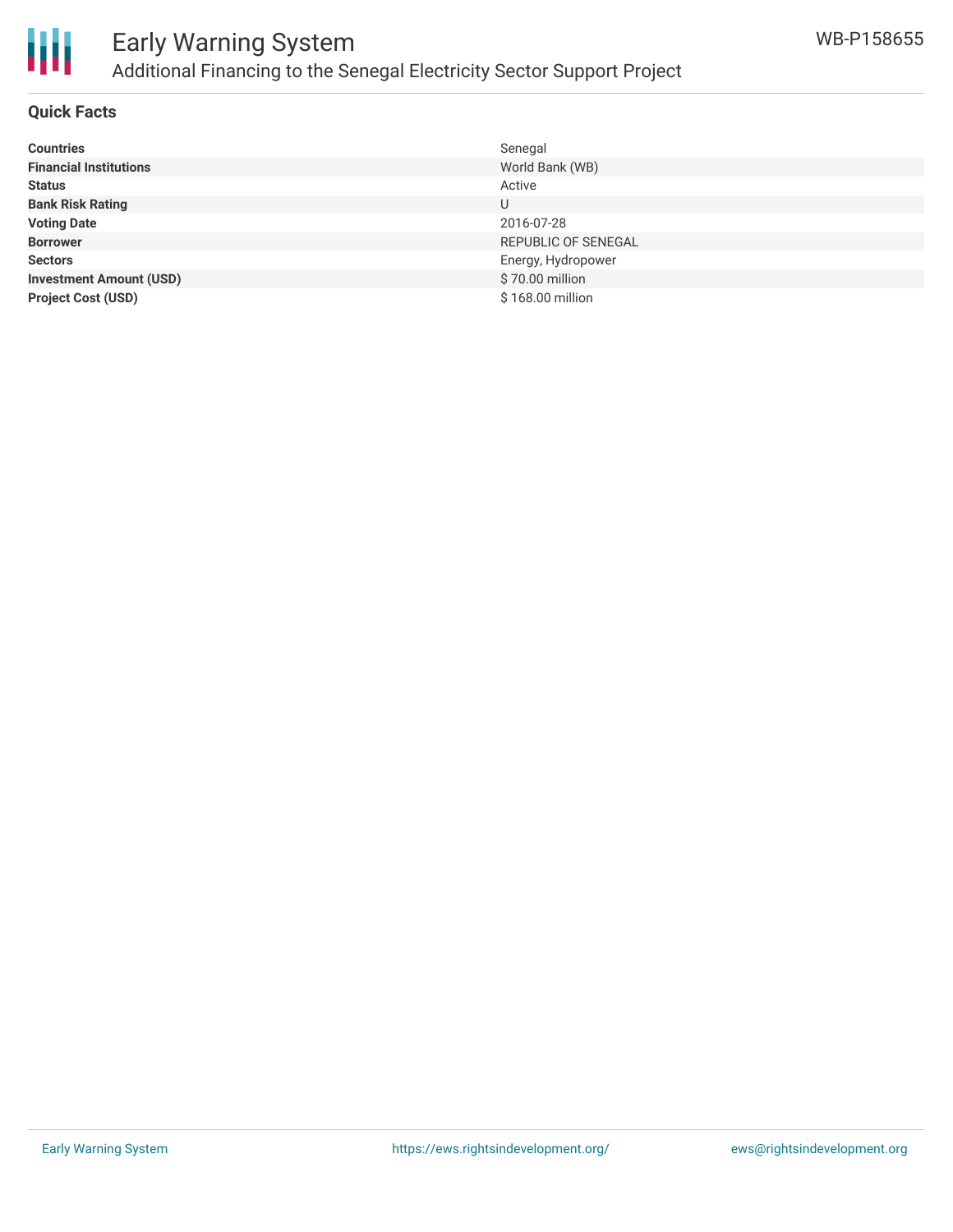

## Early Warning System Additional Financing to the Senegal Electricity Sector Support Project

#### **Quick Facts**

| <b>Countries</b>               | Senegal             |
|--------------------------------|---------------------|
| <b>Financial Institutions</b>  | World Bank (WB)     |
| <b>Status</b>                  | Active              |
| <b>Bank Risk Rating</b>        | U                   |
| <b>Voting Date</b>             | 2016-07-28          |
| <b>Borrower</b>                | REPUBLIC OF SENEGAL |
| <b>Sectors</b>                 | Energy, Hydropower  |
| <b>Investment Amount (USD)</b> | \$70.00 million     |
| <b>Project Cost (USD)</b>      | \$168.00 million    |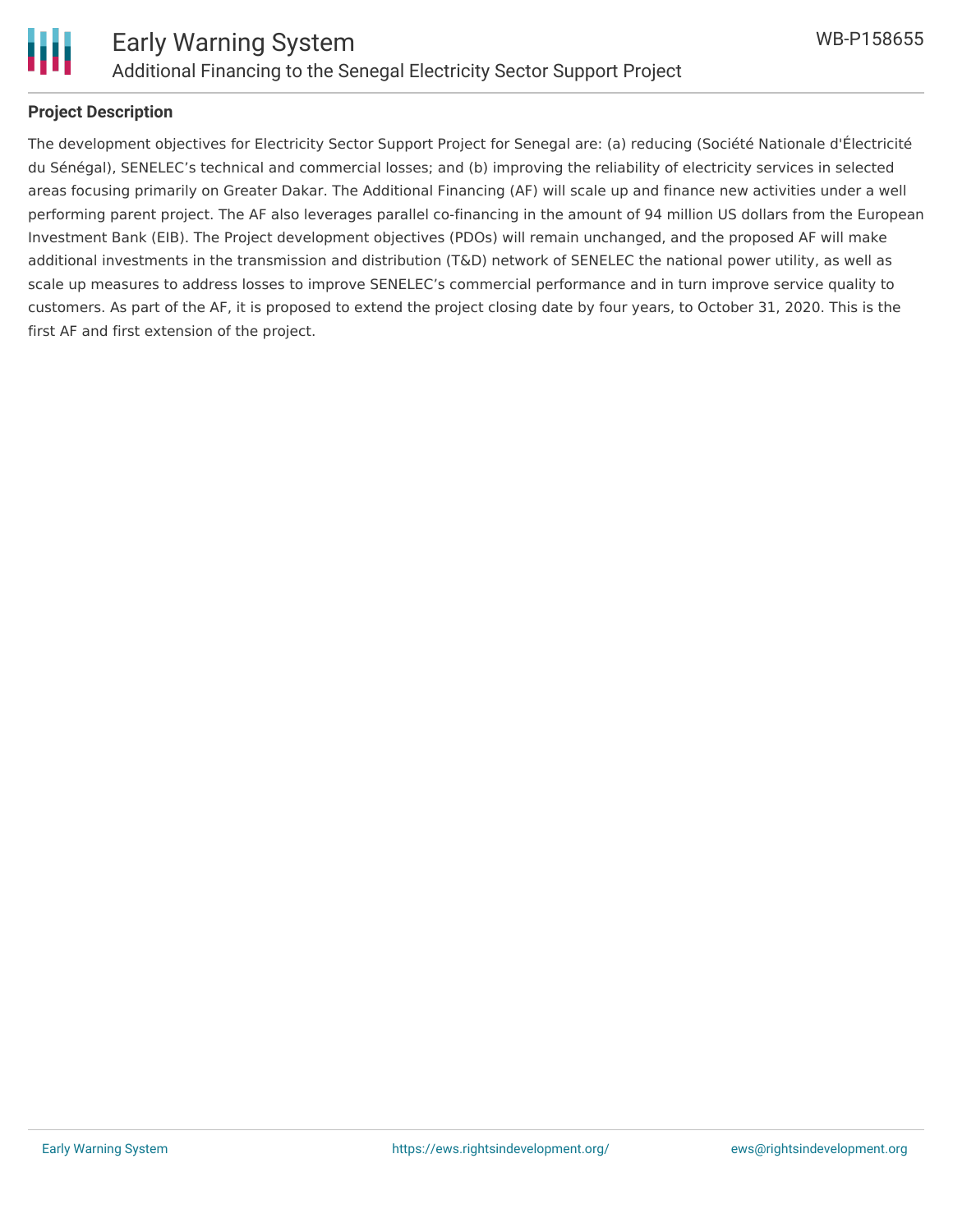

# Ш

#### **Project Description**

The development objectives for Electricity Sector Support Project for Senegal are: (a) reducing (Société Nationale d'Électricité du Sénégal), SENELEC's technical and commercial losses; and (b) improving the reliability of electricity services in selected areas focusing primarily on Greater Dakar. The Additional Financing (AF) will scale up and finance new activities under a well performing parent project. The AF also leverages parallel co-financing in the amount of 94 million US dollars from the European Investment Bank (EIB). The Project development objectives (PDOs) will remain unchanged, and the proposed AF will make additional investments in the transmission and distribution (T&D) network of SENELEC the national power utility, as well as scale up measures to address losses to improve SENELEC's commercial performance and in turn improve service quality to customers. As part of the AF, it is proposed to extend the project closing date by four years, to October 31, 2020. This is the first AF and first extension of the project.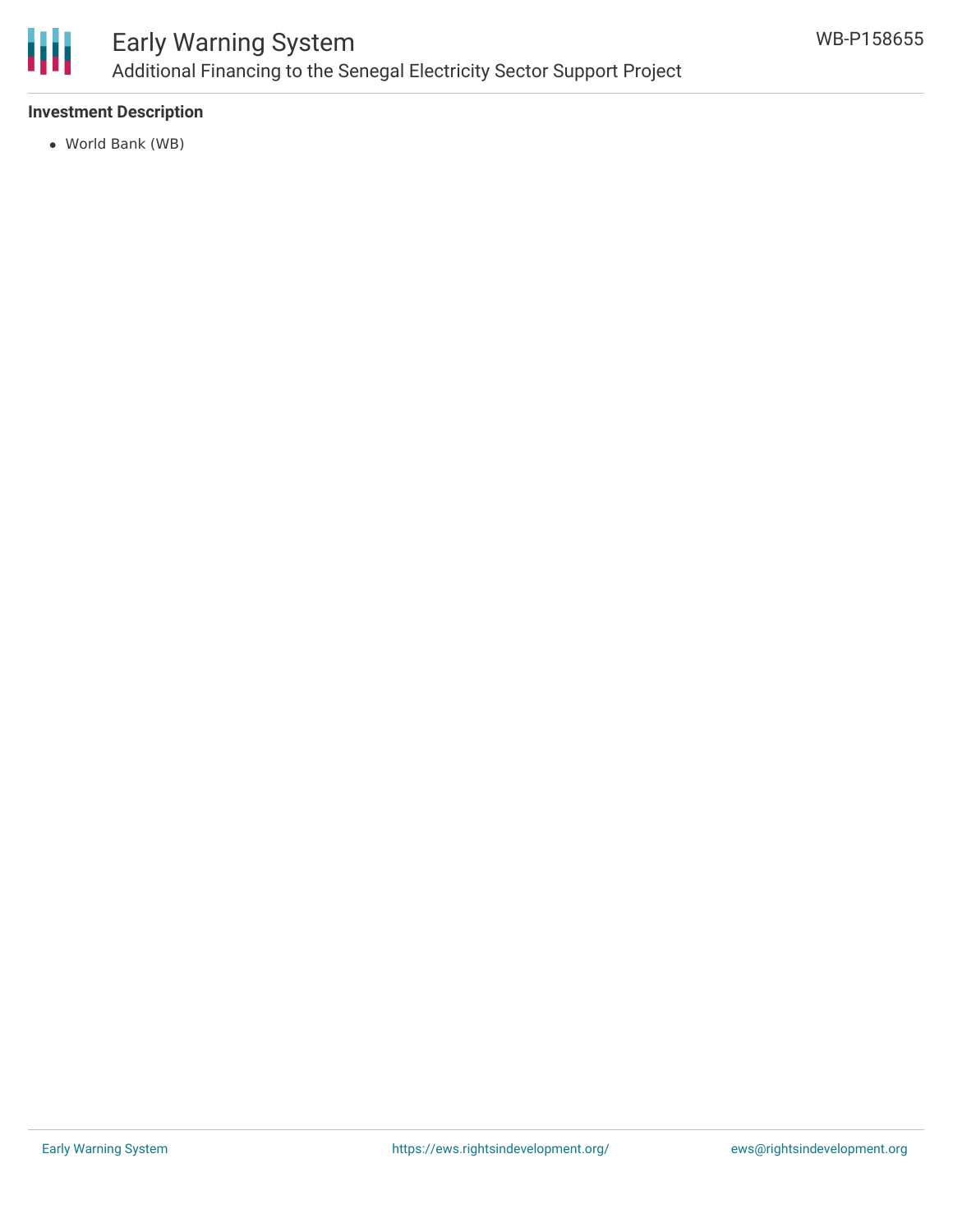

#### **Investment Description**

World Bank (WB)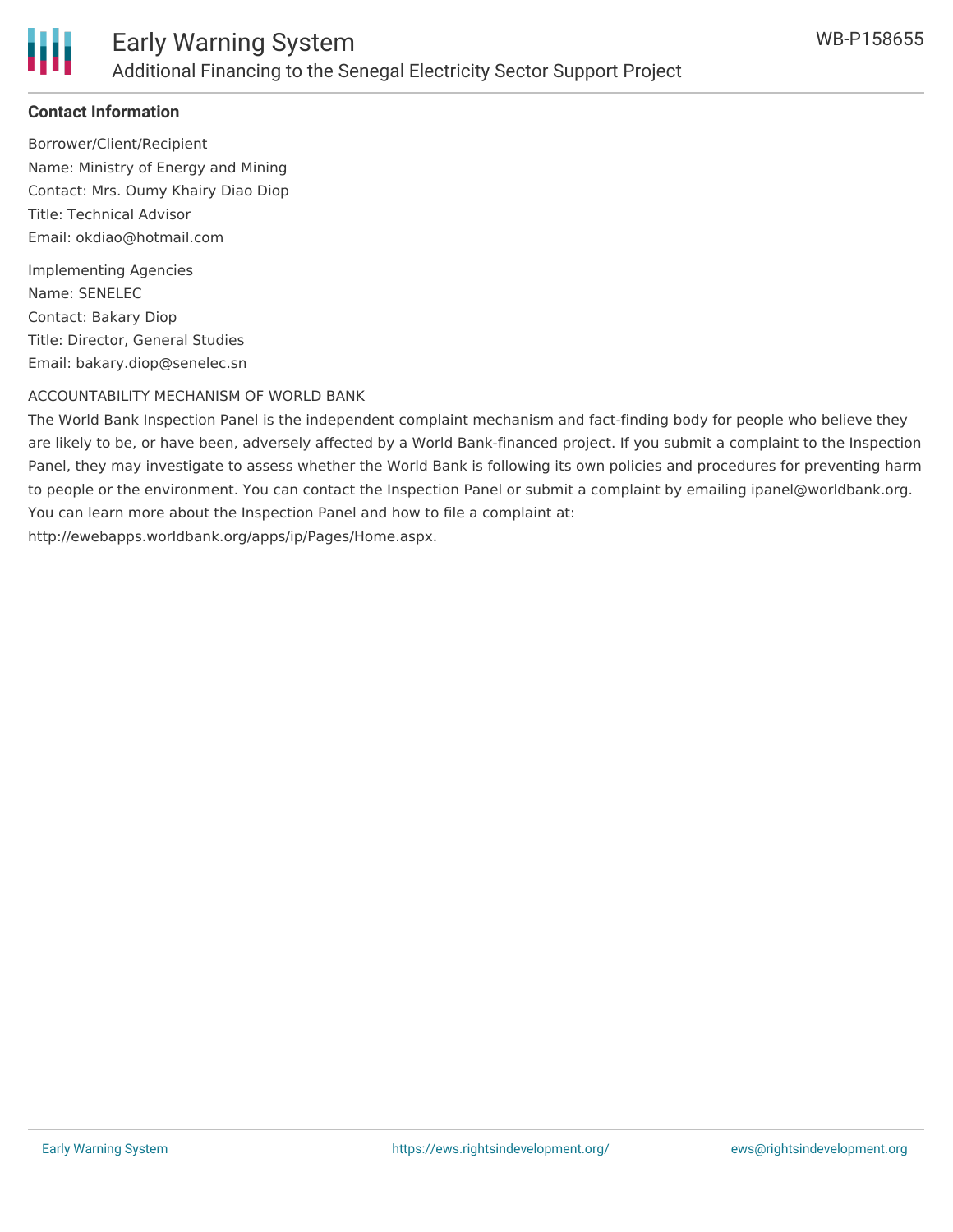

#### **Contact Information**

Borrower/Client/Recipient Name: Ministry of Energy and Mining Contact: Mrs. Oumy Khairy Diao Diop Title: Technical Advisor Email: okdiao@hotmail.com

Implementing Agencies Name: SENELEC Contact: Bakary Diop Title: Director, General Studies Email: bakary.diop@senelec.sn

#### ACCOUNTABILITY MECHANISM OF WORLD BANK

The World Bank Inspection Panel is the independent complaint mechanism and fact-finding body for people who believe they are likely to be, or have been, adversely affected by a World Bank-financed project. If you submit a complaint to the Inspection Panel, they may investigate to assess whether the World Bank is following its own policies and procedures for preventing harm to people or the environment. You can contact the Inspection Panel or submit a complaint by emailing ipanel@worldbank.org. You can learn more about the Inspection Panel and how to file a complaint at: http://ewebapps.worldbank.org/apps/ip/Pages/Home.aspx.